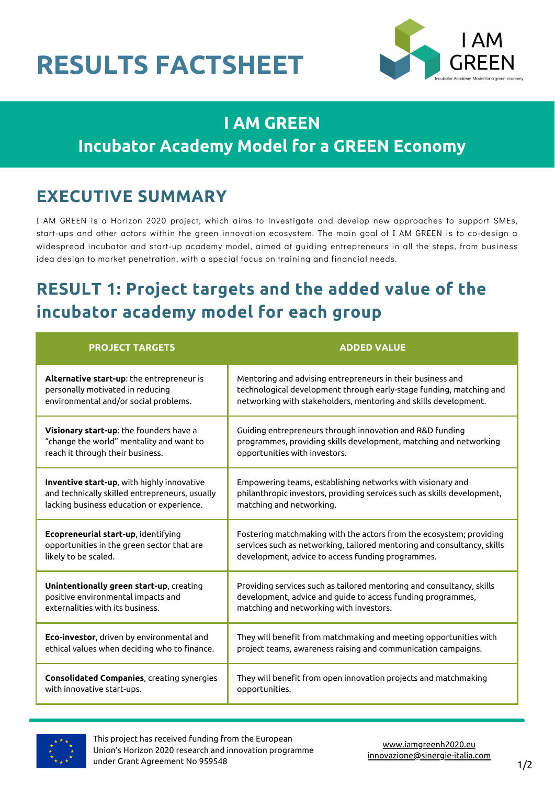# **RESULTS FACTSHEET**



# **I AM GREEN Incubator Academy Model for a GREEN Economy**

## **EXECUTIVE SUMMARY**

I AM GREEN is a Horizon 2020 project, which aims to investigate and develop new approaches to support SMEs, start-ups and other actors within the green innovation ecosystem. The main goal of I AM GREEN is to co-design a widespread incubator and start-up academy model, aimed at guiding entrepreneurs in all the steps, from business idea design to market penetration, with a special focus on training and financial needs.

# **RESULT 1: Project targets and the added value of the incubator academy model for each group**

| <b>PROJECT TARGETS</b>                             | <b>ADDED VALUE</b>                                                      |
|----------------------------------------------------|-------------------------------------------------------------------------|
| Alternative start-up: the entrepreneur is          | Mentoring and advising entrepreneurs in their business and              |
| personally motivated in reducing                   | technological development through early-stage funding, matching and     |
| environmental and/or social problems.              | networking with stakeholders, mentoring and skills development.         |
| Visionary start-up: the founders have a            | Guiding entrepreneurs through innovation and R&D funding                |
| "change the world" mentality and want to           | programmes, providing skills development, matching and networking       |
| reach it through their business.                   | opportunities with investors.                                           |
| Inventive start-up, with highly innovative         | Empowering teams, establishing networks with visionary and              |
| and technically skilled entrepreneurs, usually     | philanthropic investors, providing services such as skills development, |
| lacking business education or experience.          | matching and networking.                                                |
| Ecopreneurial start-up, identifying                | Fostering matchmaking with the actors from the ecosystem; providing     |
| opportunities in the green sector that are         | services such as networking, tailored mentoring and consultancy, skills |
| likely to be scaled.                               | development, advice to access funding programmes.                       |
| Unintentionally green start-up, creating           | Providing services such as tailored mentoring and consultancy, skills   |
| positive environmental impacts and                 | development, advice and guide to access funding programmes,             |
| externalities with its business.                   | matching and networking with investors.                                 |
| Eco-investor, driven by environmental and          | They will benefit from matchmaking and meeting opportunities with       |
| ethical values when deciding who to finance.       | project teams, awareness raising and communication campaigns.           |
| <b>Consolidated Companies</b> , creating synergies | They will benefit from open innovation projects and matchmaking         |
| with innovative start-ups.                         | opportunities.                                                          |